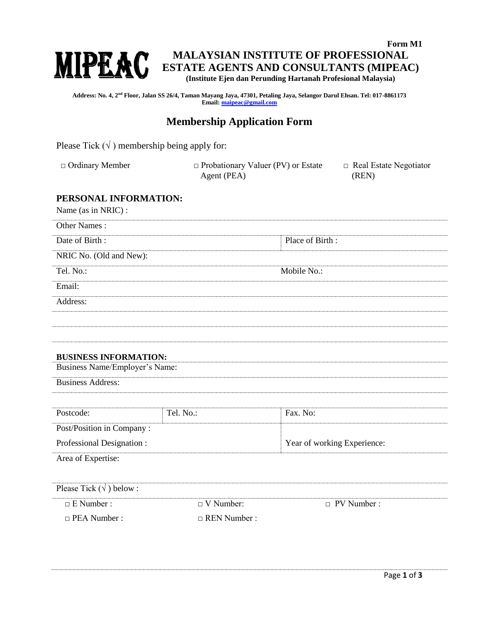

**Form M1 MALAYSIAN INSTITUTE OF PROFESSIONAL ESTATE AGENTS AND CONSULTANTS (MIPEAC) (Institute Ejen dan Perunding Hartanah Profesional Malaysia)**

**Address: No. 4, 2nd Floor, Jalan SS 26/4, Taman Mayang Jaya, 47301, Petaling Jaya, Selangor Darul Ehsan. Tel: 017-8861173 Email[: maipeac@gmail.com](mailto:maipeac@gmail.com)**

## **Membership Application Form**

Please Tick  $(\sqrt{})$  membership being apply for:

□ Ordinary Member □ Probationary Valuer (PV) or Estate Agent (PEA) □ Real Estate Negotiator (REN)

## **PERSONAL INFORMATION:**

Name (as in NRIC) :

| Other Names:                      |                     |                             |
|-----------------------------------|---------------------|-----------------------------|
| Date of Birth:                    |                     | Place of Birth:             |
| NRIC No. (Old and New):           |                     |                             |
| Tel. No.:                         |                     | Mobile No.:                 |
| Email:                            |                     |                             |
| Address:                          |                     |                             |
|                                   |                     |                             |
|                                   |                     |                             |
| <b>BUSINESS INFORMATION:</b>      |                     |                             |
| Business Name/Employer's Name:    |                     |                             |
| <b>Business Address:</b>          |                     |                             |
|                                   |                     |                             |
| Postcode:                         | Tel. No.:           | Fax. No:                    |
| Post/Position in Company:         |                     |                             |
| Professional Designation:         |                     | Year of working Experience: |
| Area of Expertise:                |                     |                             |
|                                   |                     |                             |
| Please Tick ( $\sqrt{}$ ) below : |                     |                             |
| $\Box$ E Number :                 | $\Box$ V Number:    | $\Box$ PV Number :          |
| $\Box$ PEA Number :               | $\Box$ REN Number : |                             |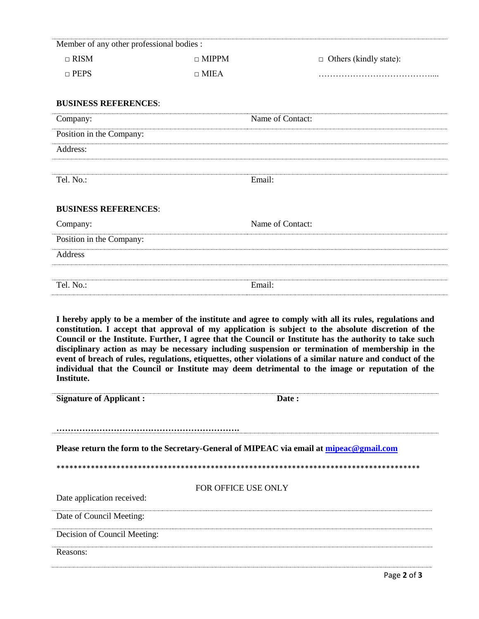| Member of any other professional bodies:                                                |                            |                                                                                                                                                                                                                                                                                                                                                                                                                                                                                                                                                                                                                                               |
|-----------------------------------------------------------------------------------------|----------------------------|-----------------------------------------------------------------------------------------------------------------------------------------------------------------------------------------------------------------------------------------------------------------------------------------------------------------------------------------------------------------------------------------------------------------------------------------------------------------------------------------------------------------------------------------------------------------------------------------------------------------------------------------------|
| $\Box$ RISM                                                                             | $\Box$ MIPPM               | $\Box$ Others (kindly state):                                                                                                                                                                                                                                                                                                                                                                                                                                                                                                                                                                                                                 |
| $\Box$ PEPS                                                                             | $\Box$ MIEA                |                                                                                                                                                                                                                                                                                                                                                                                                                                                                                                                                                                                                                                               |
|                                                                                         |                            |                                                                                                                                                                                                                                                                                                                                                                                                                                                                                                                                                                                                                                               |
| <b>BUSINESS REFERENCES:</b>                                                             |                            |                                                                                                                                                                                                                                                                                                                                                                                                                                                                                                                                                                                                                                               |
| Company:                                                                                |                            | Name of Contact:                                                                                                                                                                                                                                                                                                                                                                                                                                                                                                                                                                                                                              |
| Position in the Company:                                                                |                            |                                                                                                                                                                                                                                                                                                                                                                                                                                                                                                                                                                                                                                               |
| Address:                                                                                |                            |                                                                                                                                                                                                                                                                                                                                                                                                                                                                                                                                                                                                                                               |
|                                                                                         |                            |                                                                                                                                                                                                                                                                                                                                                                                                                                                                                                                                                                                                                                               |
| Tel. No.:                                                                               | Email:                     |                                                                                                                                                                                                                                                                                                                                                                                                                                                                                                                                                                                                                                               |
|                                                                                         |                            |                                                                                                                                                                                                                                                                                                                                                                                                                                                                                                                                                                                                                                               |
| <b>BUSINESS REFERENCES:</b>                                                             |                            |                                                                                                                                                                                                                                                                                                                                                                                                                                                                                                                                                                                                                                               |
| Company:                                                                                |                            | Name of Contact:                                                                                                                                                                                                                                                                                                                                                                                                                                                                                                                                                                                                                              |
| Position in the Company:                                                                |                            |                                                                                                                                                                                                                                                                                                                                                                                                                                                                                                                                                                                                                                               |
| <b>Address</b>                                                                          |                            |                                                                                                                                                                                                                                                                                                                                                                                                                                                                                                                                                                                                                                               |
|                                                                                         |                            |                                                                                                                                                                                                                                                                                                                                                                                                                                                                                                                                                                                                                                               |
|                                                                                         |                            |                                                                                                                                                                                                                                                                                                                                                                                                                                                                                                                                                                                                                                               |
| Tel. No.:                                                                               | Email:                     |                                                                                                                                                                                                                                                                                                                                                                                                                                                                                                                                                                                                                                               |
| Institute.                                                                              |                            | I hereby apply to be a member of the institute and agree to comply with all its rules, regulations and<br>constitution. I accept that approval of my application is subject to the absolute discretion of the<br>Council or the Institute. Further, I agree that the Council or Institute has the authority to take such<br>disciplinary action as may be necessary including suspension or termination of membership in the<br>event of breach of rules, regulations, etiquettes, other violations of a similar nature and conduct of the<br>individual that the Council or Institute may deem detrimental to the image or reputation of the |
| <b>Signature of Applicant:</b>                                                          |                            | Date:                                                                                                                                                                                                                                                                                                                                                                                                                                                                                                                                                                                                                                         |
|                                                                                         |                            |                                                                                                                                                                                                                                                                                                                                                                                                                                                                                                                                                                                                                                               |
|                                                                                         |                            |                                                                                                                                                                                                                                                                                                                                                                                                                                                                                                                                                                                                                                               |
| Please return the form to the Secretary-General of MIPEAC via email at mipeac@gmail.com |                            |                                                                                                                                                                                                                                                                                                                                                                                                                                                                                                                                                                                                                                               |
|                                                                                         |                            |                                                                                                                                                                                                                                                                                                                                                                                                                                                                                                                                                                                                                                               |
|                                                                                         |                            |                                                                                                                                                                                                                                                                                                                                                                                                                                                                                                                                                                                                                                               |
| Date application received:                                                              | <b>FOR OFFICE USE ONLY</b> |                                                                                                                                                                                                                                                                                                                                                                                                                                                                                                                                                                                                                                               |
| Date of Council Meeting:                                                                |                            |                                                                                                                                                                                                                                                                                                                                                                                                                                                                                                                                                                                                                                               |
| Decision of Council Meeting:                                                            |                            |                                                                                                                                                                                                                                                                                                                                                                                                                                                                                                                                                                                                                                               |
| Reasons:                                                                                |                            |                                                                                                                                                                                                                                                                                                                                                                                                                                                                                                                                                                                                                                               |